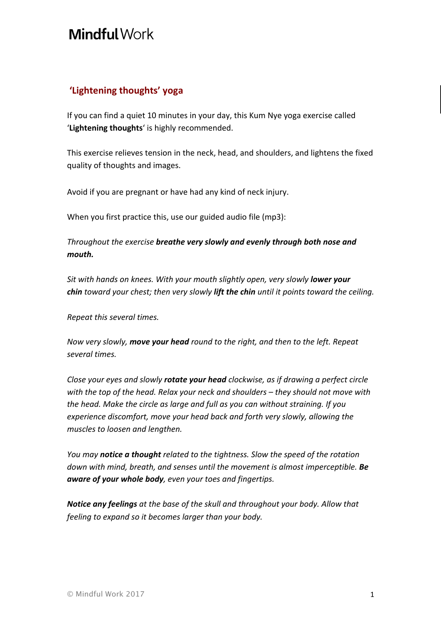## Mindful Work

## **'Lightening thoughts' yoga**

If you can find a quiet 10 minutes in your day, this Kum Nye yoga exercise called 'Lightening thoughts' is highly recommended.

This exercise relieves tension in the neck, head, and shoulders, and lightens the fixed quality of thoughts and images.

Avoid if you are pregnant or have had any kind of neck injury.

When you first practice this, use our guided audio file (mp3):

*Throughout the exercise breathe very slowly and evenly through both nose and mouth.*

*Sit with hands on knees. With your mouth slightly open, very slowly lower your chin toward your chest; then very slowly lift the chin until it points toward the ceiling.*

*Repeat this several times.*

*Now very slowly, move your head round to the right, and then to the left. Repeat several times.*

*Close your eyes and slowly rotate your head clockwise, as if drawing a perfect circle with the top of the head. Relax your neck and shoulders – they should not move with the head. Make the circle as large and full as you can without straining. If you experience discomfort, move your head back and forth very slowly, allowing the muscles to loosen and lengthen.*

*You may notice a thought related to the tightness. Slow the speed of the rotation down with mind, breath, and senses until the movement is almost imperceptible. Be aware of your whole body, even your toes and fingertips.*

*Notice any feelings at the base of the skull and throughout your body. Allow that feeling to expand so it becomes larger than your body.*